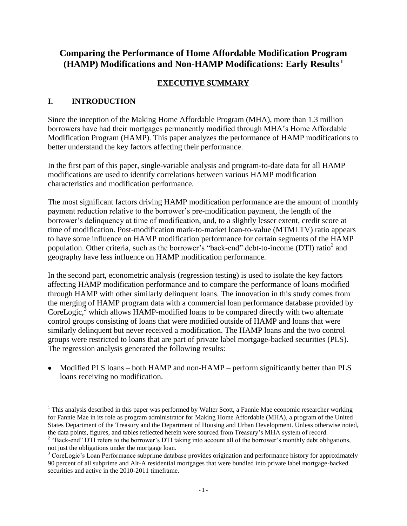# **Comparing the Performance of Home Affordable Modification Program (HAMP) Modifications and Non-HAMP Modifications: Early Results <sup>1</sup>**

# **EXECUTIVE SUMMARY**

# **I. INTRODUCTION**

Since the inception of the Making Home Affordable Program (MHA), more than 1.3 million borrowers have had their mortgages permanently modified through MHA's Home Affordable Modification Program (HAMP). This paper analyzes the performance of HAMP modifications to better understand the key factors affecting their performance.

In the first part of this paper, single-variable analysis and program-to-date data for all HAMP modifications are used to identify correlations between various HAMP modification characteristics and modification performance.

The most significant factors driving HAMP modification performance are the amount of monthly payment reduction relative to the borrower's pre-modification payment, the length of the borrower's delinquency at time of modification, and, to a slightly lesser extent, credit score at time of modification. Post-modification mark-to-market loan-to-value (MTMLTV) ratio appears to have some influence on HAMP modification performance for certain segments of the HAMP population. Other criteria, such as the borrower's "back-end" debt-to-income (DTI) ratio<sup>2</sup> and geography have less influence on HAMP modification performance.

In the second part, econometric analysis (regression testing) is used to isolate the key factors affecting HAMP modification performance and to compare the performance of loans modified through HAMP with other similarly delinquent loans. The innovation in this study comes from the merging of HAMP program data with a commercial loan performance database provided by  $CoreLogic,3$ <sup>3</sup> which allows HAMP-modified loans to be compared directly with two alternate control groups consisting of loans that were modified outside of HAMP and loans that were similarly delinquent but never received a modification. The HAMP loans and the two control groups were restricted to loans that are part of private label mortgage-backed securities (PLS). The regression analysis generated the following results:

• Modified PLS loans – both HAMP and non-HAMP – perform significantly better than PLS loans receiving no modification.

 $\overline{a}$  $<sup>1</sup>$  This analysis described in this paper was performed by Walter Scott, a Fannie Mae economic researcher working</sup> for Fannie Mae in its role as program administrator for Making Home Affordable (MHA), a program of the United States Department of the Treasury and the Department of Housing and Urban Development. Unless otherwise noted, the data points, figures, and tables reflected herein were sourced from Treasury's MHA system of record.

<sup>&</sup>lt;sup>2</sup> "Back-end" DTI refers to the borrower's DTI taking into account all of the borrower's monthly debt obligations, not just the obligations under the mortgage loan.

\_\_\_\_\_\_\_\_\_\_\_\_\_\_\_\_\_\_\_\_\_\_\_\_\_\_\_\_\_\_\_\_\_\_\_\_\_\_\_\_\_\_\_\_\_\_\_\_\_\_\_\_\_\_\_\_\_\_\_\_\_\_\_\_\_\_\_\_\_\_\_\_\_\_\_\_\_\_\_\_\_\_\_\_\_\_\_\_\_\_\_\_\_\_ <sup>3</sup> CoreLogic's Loan Performance subprime database provides origination and performance history for approximately 90 percent of all subprime and Alt-A residential mortgages that were bundled into private label mortgage-backed securities and active in the 2010-2011 timeframe.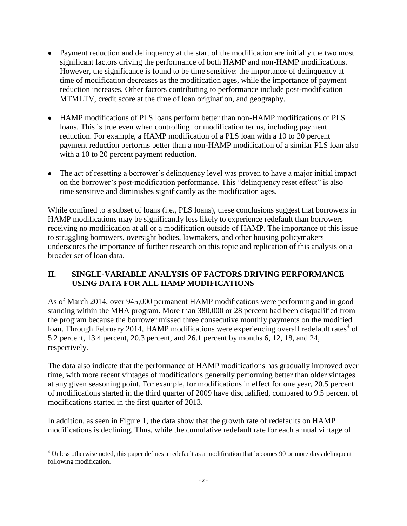- Payment reduction and delinquency at the start of the modification are initially the two most significant factors driving the performance of both HAMP and non-HAMP modifications. However, the significance is found to be time sensitive: the importance of delinquency at time of modification decreases as the modification ages, while the importance of payment reduction increases. Other factors contributing to performance include post-modification MTMLTV, credit score at the time of loan origination, and geography.
- HAMP modifications of PLS loans perform better than non-HAMP modifications of PLS loans. This is true even when controlling for modification terms, including payment reduction. For example, a HAMP modification of a PLS loan with a 10 to 20 percent payment reduction performs better than a non-HAMP modification of a similar PLS loan also with a 10 to 20 percent payment reduction.
- The act of resetting a borrower's delinquency level was proven to have a major initial impact on the borrower's post-modification performance. This "delinquency reset effect" is also time sensitive and diminishes significantly as the modification ages.

While confined to a subset of loans (i.e., PLS loans), these conclusions suggest that borrowers in HAMP modifications may be significantly less likely to experience redefault than borrowers receiving no modification at all or a modification outside of HAMP. The importance of this issue to struggling borrowers, oversight bodies, lawmakers, and other housing policymakers underscores the importance of further research on this topic and replication of this analysis on a broader set of loan data.

# **II. SINGLE-VARIABLE ANALYSIS OF FACTORS DRIVING PERFORMANCE USING DATA FOR ALL HAMP MODIFICATIONS**

As of March 2014, over 945,000 permanent HAMP modifications were performing and in good standing within the MHA program. More than 380,000 or 28 percent had been disqualified from the program because the borrower missed three consecutive monthly payments on the modified loan. Through February 2014, HAMP modifications were experiencing overall redefault rates<sup>4</sup> of 5.2 percent, 13.4 percent, 20.3 percent, and 26.1 percent by months 6, 12, 18, and 24, respectively.

The data also indicate that the performance of HAMP modifications has gradually improved over time, with more recent vintages of modifications generally performing better than older vintages at any given seasoning point. For example, for modifications in effect for one year, 20.5 percent of modifications started in the third quarter of 2009 have disqualified, compared to 9.5 percent of modifications started in the first quarter of 2013.

In addition, as seen in Figure 1, the data show that the growth rate of redefaults on HAMP modifications is declining. Thus, while the cumulative redefault rate for each annual vintage of

<sup>&</sup>lt;sup>4</sup> Unless otherwise noted, this paper defines a redefault as a modification that becomes 90 or more days delinquent following modification.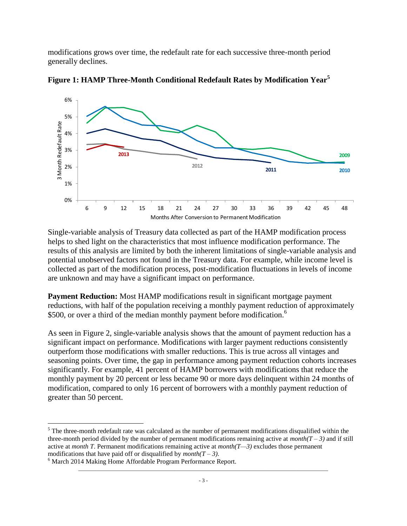modifications grows over time, the redefault rate for each successive three-month period generally declines.



**Figure 1: HAMP Three-Month Conditional Redefault Rates by Modification Year<sup>5</sup>**

Single-variable analysis of Treasury data collected as part of the HAMP modification process helps to shed light on the characteristics that most influence modification performance. The results of this analysis are limited by both the inherent limitations of single-variable analysis and potential unobserved factors not found in the Treasury data. For example, while income level is collected as part of the modification process, post-modification fluctuations in levels of income are unknown and may have a significant impact on performance.

**Payment Reduction:** Most HAMP modifications result in significant mortgage payment reductions, with half of the population receiving a monthly payment reduction of approximately \$500, or over a third of the median monthly payment before modification.<sup>6</sup>

As seen in Figure 2, single-variable analysis shows that the amount of payment reduction has a significant impact on performance. Modifications with larger payment reductions consistently outperform those modifications with smaller reductions. This is true across all vintages and seasoning points. Over time, the gap in performance among payment reduction cohorts increases significantly. For example, 41 percent of HAMP borrowers with modifications that reduce the monthly payment by 20 percent or less became 90 or more days delinquent within 24 months of modification, compared to only 16 percent of borrowers with a monthly payment reduction of greater than 50 percent.

 $<sup>5</sup>$  The three-month redefault rate was calculated as the number of permanent modifications disqualified within the</sup> three-month period divided by the number of permanent modifications remaining active at  $month(T - 3)$  and if still active at *month T*. Permanent modifications remaining active at *month(T—3)* excludes those permanent modifications that have paid off or disqualified by  $month(T - 3)$ .

<sup>&</sup>lt;sup>6</sup> March 2014 Making Home Affordable Program Performance Report.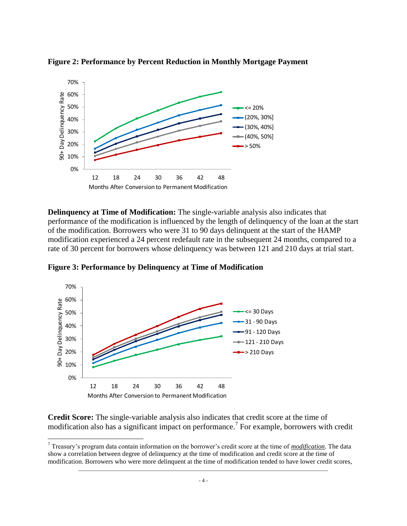

**Figure 2: Performance by Percent Reduction in Monthly Mortgage Payment**

**Delinquency at Time of Modification:** The single-variable analysis also indicates that performance of the modification is influenced by the length of delinquency of the loan at the start of the modification. Borrowers who were 31 to 90 days delinquent at the start of the HAMP modification experienced a 24 percent redefault rate in the subsequent 24 months, compared to a rate of 30 percent for borrowers whose delinquency was between 121 and 210 days at trial start.

**Figure 3: Performance by Delinquency at Time of Modification**



 $\overline{a}$ 

**Credit Score:** The single-variable analysis also indicates that credit score at the time of modification also has a significant impact on performance. 7 For example, borrowers with credit

<sup>7</sup> Treasury's program data contain information on the borrower's credit score at the time of *modification*. The data show a correlation between degree of delinquency at the time of modification and credit score at the time of modification. Borrowers who were more delinquent at the time of modification tended to have lower credit scores,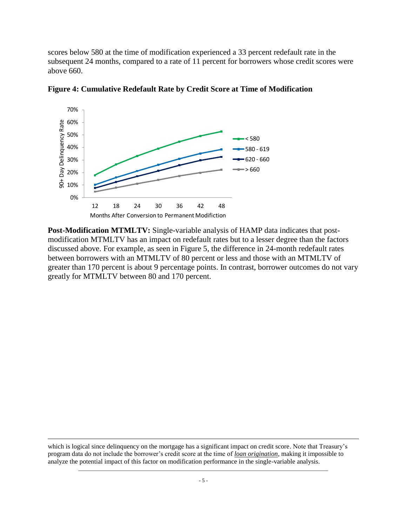scores below 580 at the time of modification experienced a 33 percent redefault rate in the subsequent 24 months, compared to a rate of 11 percent for borrowers whose credit scores were above 660.



**Figure 4: Cumulative Redefault Rate by Credit Score at Time of Modification**

**Post-Modification MTMLTV:** Single-variable analysis of HAMP data indicates that postmodification MTMLTV has an impact on redefault rates but to a lesser degree than the factors discussed above. For example, as seen in Figure 5, the difference in 24-month redefault rates between borrowers with an MTMLTV of 80 percent or less and those with an MTMLTV of greater than 170 percent is about 9 percentage points. In contrast, borrower outcomes do not vary greatly for MTMLTV between 80 and 170 percent.

which is logical since delinquency on the mortgage has a significant impact on credit score. Note that Treasury's program data do not include the borrower's credit score at the time of *loan origination,* making it impossible to analyze the potential impact of this factor on modification performance in the single-variable analysis.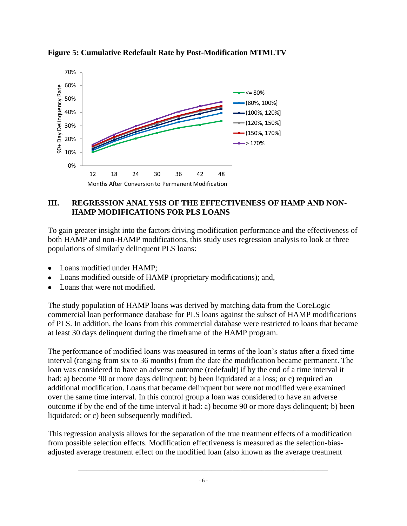

**Figure 5: Cumulative Redefault Rate by Post-Modification MTMLTV**

#### **III. REGRESSION ANALYSIS OF THE EFFECTIVENESS OF HAMP AND NON-HAMP MODIFICATIONS FOR PLS LOANS**

To gain greater insight into the factors driving modification performance and the effectiveness of both HAMP and non-HAMP modifications, this study uses regression analysis to look at three populations of similarly delinquent PLS loans:

- Loans modified under HAMP:
- Loans modified outside of HAMP (proprietary modifications); and,
- Loans that were not modified.

The study population of HAMP loans was derived by matching data from the CoreLogic commercial loan performance database for PLS loans against the subset of HAMP modifications of PLS. In addition, the loans from this commercial database were restricted to loans that became at least 30 days delinquent during the timeframe of the HAMP program.

The performance of modified loans was measured in terms of the loan's status after a fixed time interval (ranging from six to 36 months) from the date the modification became permanent. The loan was considered to have an adverse outcome (redefault) if by the end of a time interval it had: a) become 90 or more days delinquent; b) been liquidated at a loss; or c) required an additional modification. Loans that became delinquent but were not modified were examined over the same time interval. In this control group a loan was considered to have an adverse outcome if by the end of the time interval it had: a) become 90 or more days delinquent; b) been liquidated; or c) been subsequently modified.

This regression analysis allows for the separation of the true treatment effects of a modification from possible selection effects. Modification effectiveness is measured as the selection-biasadjusted average treatment effect on the modified loan (also known as the average treatment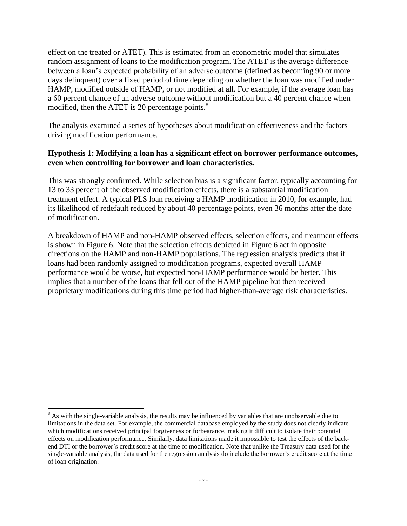effect on the treated or ATET). This is estimated from an econometric model that simulates random assignment of loans to the modification program. The ATET is the average difference between a loan's expected probability of an adverse outcome (defined as becoming 90 or more days delinquent) over a fixed period of time depending on whether the loan was modified under HAMP, modified outside of HAMP, or not modified at all. For example, if the average loan has a 60 percent chance of an adverse outcome without modification but a 40 percent chance when modified, then the ATET is 20 percentage points.<sup>8</sup>

The analysis examined a series of hypotheses about modification effectiveness and the factors driving modification performance.

#### **Hypothesis 1: Modifying a loan has a significant effect on borrower performance outcomes, even when controlling for borrower and loan characteristics.**

This was strongly confirmed. While selection bias is a significant factor, typically accounting for 13 to 33 percent of the observed modification effects, there is a substantial modification treatment effect. A typical PLS loan receiving a HAMP modification in 2010, for example, had its likelihood of redefault reduced by about 40 percentage points, even 36 months after the date of modification.

A breakdown of HAMP and non-HAMP observed effects, selection effects, and treatment effects is shown in Figure 6. Note that the selection effects depicted in Figure 6 act in opposite directions on the HAMP and non-HAMP populations. The regression analysis predicts that if loans had been randomly assigned to modification programs, expected overall HAMP performance would be worse, but expected non-HAMP performance would be better. This implies that a number of the loans that fell out of the HAMP pipeline but then received proprietary modifications during this time period had higher-than-average risk characteristics.

<sup>&</sup>lt;sup>8</sup> As with the single-variable analysis, the results may be influenced by variables that are unobservable due to limitations in the data set. For example, the commercial database employed by the study does not clearly indicate which modifications received principal forgiveness or forbearance, making it difficult to isolate their potential effects on modification performance. Similarly, data limitations made it impossible to test the effects of the backend DTI or the borrower's credit score at the time of modification. Note that unlike the Treasury data used for the single-variable analysis, the data used for the regression analysis do include the borrower's credit score at the time of loan origination.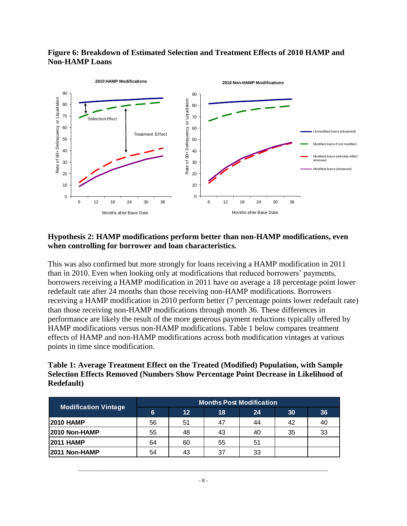### **Figure 6: Breakdown of Estimated Selection and Treatment Effects of 2010 HAMP and Non-HAMP Loans**



#### **Hypothesis 2: HAMP modifications perform better than non-HAMP modifications, even when controlling for borrower and loan characteristics***.*

This was also confirmed but more strongly for loans receiving a HAMP modification in 2011 than in 2010. Even when looking only at modifications that reduced borrowers' payments, borrowers receiving a HAMP modification in 2011 have on average a 18 percentage point lower redefault rate after 24 months than those receiving non-HAMP modifications. Borrowers receiving a HAMP modification in 2010 perform better (7 percentage points lower redefault rate) than those receiving non-HAMP modifications through month 36. These differences in performance are likely the result of the more generous payment reductions typically offered by HAMP modifications versus non-HAMP modifications. Table 1 below compares treatment effects of HAMP and non-HAMP modifications across both modification vintages at various points in time since modification.

## **Table 1: Average Treatment Effect on the Treated (Modified) Population, with Sample Selection Effects Removed (Numbers Show Percentage Point Decrease in Likelihood of Redefault)**

| <b>Modification Vintage</b> | <b>Months Post Modification</b> |                 |    |    |    |    |
|-----------------------------|---------------------------------|-----------------|----|----|----|----|
|                             | 6                               | 12 <sub>2</sub> | 18 | 24 | 30 | 36 |
| <b>2010 HAMP</b>            | 56                              | 51              | 47 | 44 | 42 | 40 |
| 2010 Non-HAMP               | 55                              | 48              | 43 | 40 | 35 | 33 |
| <b>2011 HAMP</b>            | 64                              | 60              | 55 | 51 |    |    |
| 2011 Non-HAMP               | 54                              | 43              | 37 | 33 |    |    |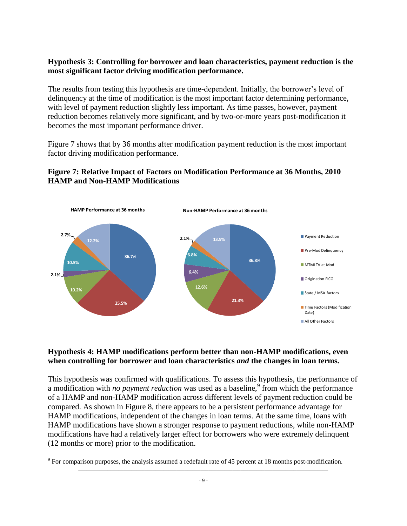### **Hypothesis 3: Controlling for borrower and loan characteristics, payment reduction is the most significant factor driving modification performance.**

The results from testing this hypothesis are time-dependent. Initially, the borrower's level of delinquency at the time of modification is the most important factor determining performance, with level of payment reduction slightly less important. As time passes, however, payment reduction becomes relatively more significant, and by two-or-more years post-modification it becomes the most important performance driver.

Figure 7 shows that by 36 months after modification payment reduction is the most important factor driving modification performance.



# **Figure 7: Relative Impact of Factors on Modification Performance at 36 Months, 2010 HAMP and Non-HAMP Modifications**

## **Hypothesis 4: HAMP modifications perform better than non-HAMP modifications, even when controlling for borrower and loan characteristics** *and* **the changes in loan terms***.*

This hypothesis was confirmed with qualifications. To assess this hypothesis, the performance of a modification with *no payment reduction* was used as a baseline,<sup>9</sup> from which the performance of a HAMP and non-HAMP modification across different levels of payment reduction could be compared. As shown in Figure 8, there appears to be a persistent performance advantage for HAMP modifications, independent of the changes in loan terms. At the same time, loans with HAMP modifications have shown a stronger response to payment reductions, while non-HAMP modifications have had a relatively larger effect for borrowers who were extremely delinquent (12 months or more) prior to the modification.

 $9^9$  For comparison purposes, the analysis assumed a redefault rate of 45 percent at 18 months post-modification.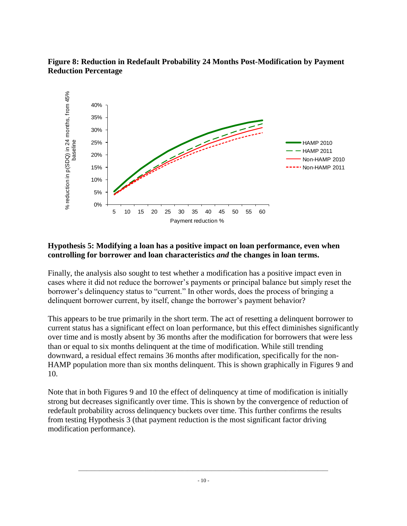### **Figure 8: Reduction in Redefault Probability 24 Months Post-Modification by Payment Reduction Percentage**



## **Hypothesis 5: Modifying a loan has a positive impact on loan performance, even when controlling for borrower and loan characteristics** *and* **the changes in loan terms.**

Finally, the analysis also sought to test whether a modification has a positive impact even in cases where it did not reduce the borrower's payments or principal balance but simply reset the borrower's delinquency status to "current." In other words, does the process of bringing a delinquent borrower current, by itself, change the borrower's payment behavior?

This appears to be true primarily in the short term. The act of resetting a delinquent borrower to current status has a significant effect on loan performance, but this effect diminishes significantly over time and is mostly absent by 36 months after the modification for borrowers that were less than or equal to six months delinquent at the time of modification. While still trending downward, a residual effect remains 36 months after modification, specifically for the non-HAMP population more than six months delinquent. This is shown graphically in Figures 9 and 10.

Note that in both Figures 9 and 10 the effect of delinquency at time of modification is initially strong but decreases significantly over time. This is shown by the convergence of reduction of redefault probability across delinquency buckets over time. This further confirms the results from testing Hypothesis 3 (that payment reduction is the most significant factor driving modification performance).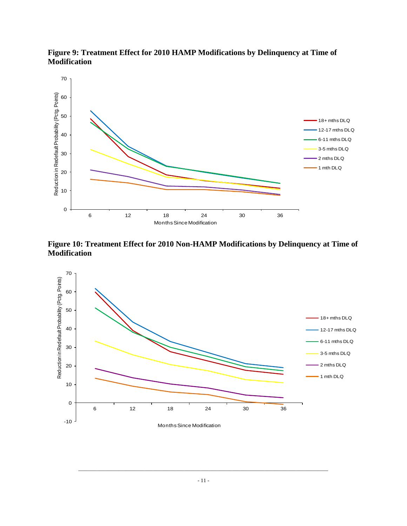

**Figure 9: Treatment Effect for 2010 HAMP Modifications by Delinquency at Time of Modification** 

**Figure 10: Treatment Effect for 2010 Non-HAMP Modifications by Delinquency at Time of Modification**